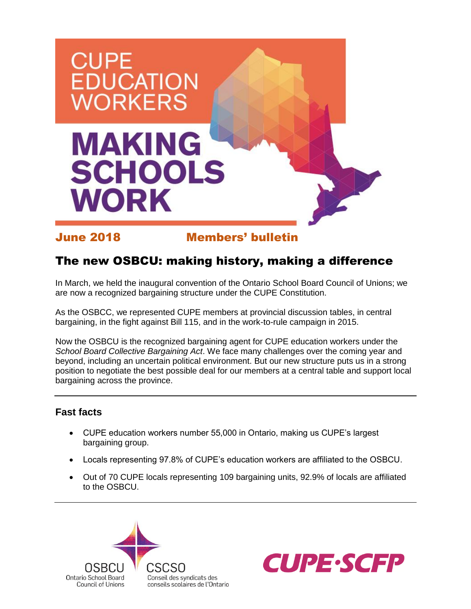

June 2018 Members' bulletin

## The new OSBCU: making history, making a difference

In March, we held the inaugural convention of the Ontario School Board Council of Unions; we are now a recognized bargaining structure under the CUPE Constitution.

As the OSBCC, we represented CUPE members at provincial discussion tables, in central bargaining, in the fight against Bill 115, and in the work-to-rule campaign in 2015.

Now the OSBCU is the recognized bargaining agent for CUPE education workers under the *School Board Collective Bargaining Act*. We face many challenges over the coming year and beyond, including an uncertain political environment. But our new structure puts us in a strong position to negotiate the best possible deal for our members at a central table and support local bargaining across the province.

### **Fast facts**

- CUPE education workers number 55,000 in Ontario, making us CUPE's largest bargaining group.
- Locals representing 97.8% of CUPE's education workers are affiliated to the OSBCU.
- Out of 70 CUPE locals representing 109 bargaining units, 92.9% of locals are affiliated to the OSBCU.



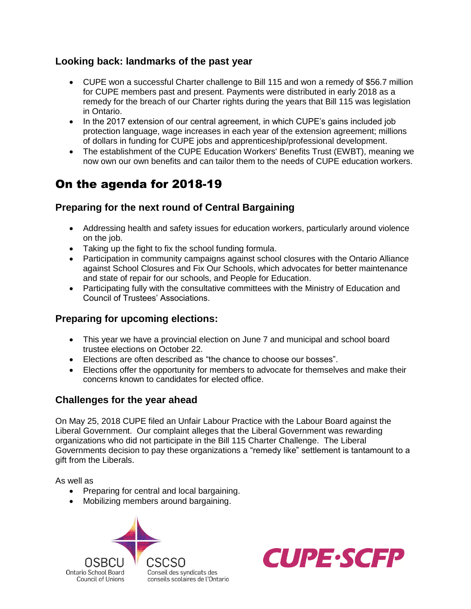#### **Looking back: landmarks of the past year**

- CUPE won a successful Charter challenge to Bill 115 and won a remedy of \$56.7 million for CUPE members past and present. Payments were distributed in early 2018 as a remedy for the breach of our Charter rights during the years that Bill 115 was legislation in Ontario.
- In the 2017 extension of our central agreement, in which CUPE's gains included job protection language, wage increases in each year of the extension agreement; millions of dollars in funding for CUPE jobs and apprenticeship/professional development.
- The establishment of the CUPE Education Workers' Benefits Trust (EWBT), meaning we now own our own benefits and can tailor them to the needs of CUPE education workers.

# On the agenda for 2018-19

#### **Preparing for the next round of Central Bargaining**

- Addressing health and safety issues for education workers, particularly around violence on the job.
- Taking up the fight to fix the school funding formula.
- Participation in community campaigns against school closures with the Ontario Alliance against School Closures and Fix Our Schools, which advocates for better maintenance and state of repair for our schools, and People for Education.
- Participating fully with the consultative committees with the Ministry of Education and Council of Trustees' Associations.

#### **Preparing for upcoming elections:**

- This year we have a provincial election on June 7 and municipal and school board trustee elections on October 22.
- Elections are often described as "the chance to choose our bosses".
- Elections offer the opportunity for members to advocate for themselves and make their concerns known to candidates for elected office.

#### **Challenges for the year ahead**

On May 25, 2018 CUPE filed an Unfair Labour Practice with the Labour Board against the Liberal Government. Our complaint alleges that the Liberal Government was rewarding organizations who did not participate in the Bill 115 Charter Challenge. The Liberal Governments decision to pay these organizations a "remedy like" settlement is tantamount to a gift from the Liberals.

As well as

- Preparing for central and local bargaining.
- Mobilizing members around bargaining.



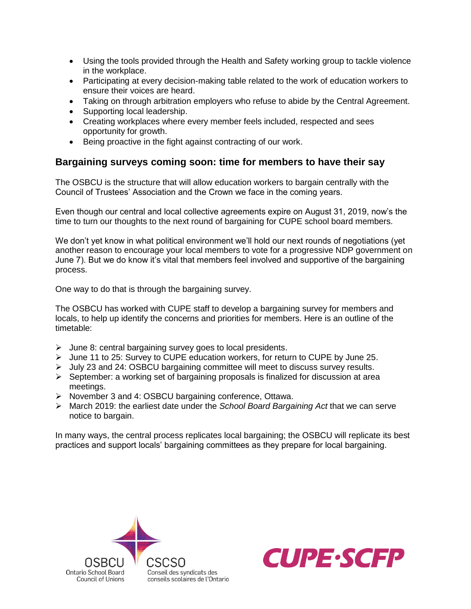- Using the tools provided through the Health and Safety working group to tackle violence in the workplace.
- Participating at every decision-making table related to the work of education workers to ensure their voices are heard.
- Taking on through arbitration employers who refuse to abide by the Central Agreement.
- Supporting local leadership.
- Creating workplaces where every member feels included, respected and sees opportunity for growth.
- Being proactive in the fight against contracting of our work.

#### **Bargaining surveys coming soon: time for members to have their say**

The OSBCU is the structure that will allow education workers to bargain centrally with the Council of Trustees' Association and the Crown we face in the coming years.

Even though our central and local collective agreements expire on August 31, 2019, now's the time to turn our thoughts to the next round of bargaining for CUPE school board members.

We don't yet know in what political environment we'll hold our next rounds of negotiations (yet another reason to encourage your local members to vote for a progressive NDP government on June 7). But we do know it's vital that members feel involved and supportive of the bargaining process.

One way to do that is through the bargaining survey.

The OSBCU has worked with CUPE staff to develop a bargaining survey for members and locals, to help up identify the concerns and priorities for members. Here is an outline of the timetable:

- $\triangleright$  June 8: central bargaining survey goes to local presidents.
- $\triangleright$  June 11 to 25: Survey to CUPE education workers, for return to CUPE by June 25.
- ➢ July 23 and 24: OSBCU bargaining committee will meet to discuss survey results.
- ➢ September: a working set of bargaining proposals is finalized for discussion at area meetings.
- ➢ November 3 and 4: OSBCU bargaining conference, Ottawa.
- ➢ March 2019: the earliest date under the *School Board Bargaining Act* that we can serve notice to bargain.

In many ways, the central process replicates local bargaining; the OSBCU will replicate its best practices and support locals' bargaining committees as they prepare for local bargaining.